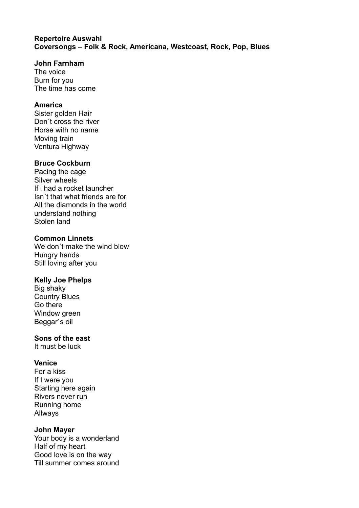### **Repertoire Auswahl Coversongs – Folk & Rock, Americana, Westcoast, Rock, Pop, Blues**

### **John Farnham**

The voice Burn for you The time has come

## **America**

Sister golden Hair Don´t cross the river Horse with no name Moving train Ventura Highway

### **Bruce Cockburn**

Pacing the cage Silver wheels If i had a rocket launcher Isn´t that what friends are for All the diamonds in the world understand nothing Stolen land

# **Common Linnets**

We don´t make the wind blow Hungry hands Still loving after you

### **Kelly Joe Phelps**

Big shaky Country Blues Go there Window green Beggar`s oil

### **Sons of the east**

It must be luck

# **Venice**

For a kiss If I were you Starting here again Rivers never run Running home Allways

### **John Mayer**

Your body is a wonderland Half of my heart Good love is on the way Till summer comes around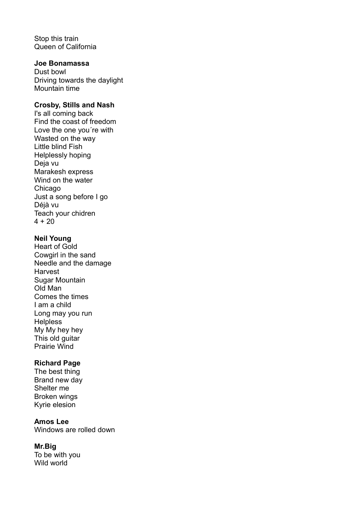Stop this train Queen of California

## **Joe Bonamassa**

Dust bowl Driving towards the daylight Mountain time

### **Crosby, Stills and Nash**

I's all coming back Find the coast of freedom Love the one you´re with Wasted on the way Little blind Fish Helplessly hoping Deja vu Marakesh express Wind on the water Chicago Just a song before I go Déjà vu Teach your chidren  $4 + 20$ 

### **Neil Young**

Heart of Gold Cowgirl in the sand Needle and the damage **Harvest** Sugar Mountain Old Man Comes the times I am a child Long may you run **Helpless** My My hey hey This old guitar Prairie Wind

# **Richard Page**

The best thing Brand new day Shelter me Broken wings Kyrie elesion

## **Amos Lee**

Windows are rolled down

### **Mr.Big**

To be with you Wild world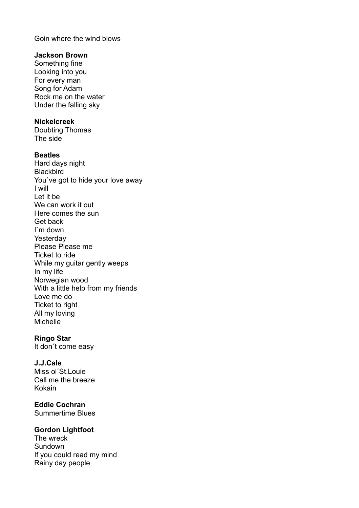Goin where the wind blows

#### **Jackson Brown**

Something fine Looking into you For every man Song for Adam Rock me on the water Under the falling sky

### **Nickelcreek**

Doubting Thomas The side

### **Beatles**

Hard days night **Blackbird** You`ve got to hide your love away I will Let it be We can work it out Here comes the sun Get back I`m down **Yesterdav** Please Please me Ticket to ride While my guitar gently weeps In my life Norwegian wood With a little help from my friends Love me do Ticket to right All my loving Michelle

#### **Ringo Star**

It don´t come easy

### **J.J.Cale**

Miss ol´St.Louie Call me the breeze Kokain

# **Eddie Cochran**

Summertime Blues

### **Gordon Lightfoot**

The wreck **Sundown** If you could read my mind Rainy day people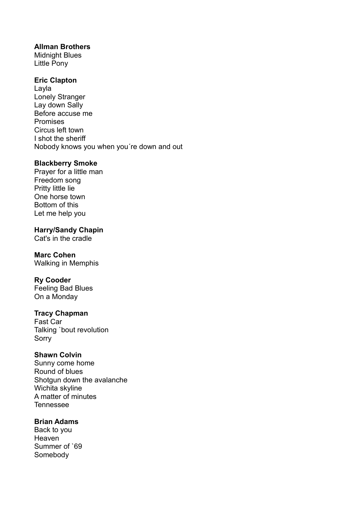## **Allman Brothers**

Midnight Blues Little Pony

### **Eric Clapton**

Layla Lonely Stranger Lay down Sally Before accuse me Promises Circus left town I shot the sheriff Nobody knows you when you´re down and out

### **Blackberry Smoke**

Prayer for a little man Freedom song Pritty little lie One horse town Bottom of this Let me help you

**Harry/Sandy Chapin**

Cat's in the cradle

# **Marc Cohen**

Walking in Memphis

# **Ry Cooder**

Feeling Bad Blues On a Monday

### **Tracy Chapman**

Fast Car Talking `bout revolution Sorry

# **Shawn Colvin**

Sunny come home Round of blues Shotgun down the avalanche Wichita skyline A matter of minutes Tennessee

# **Brian Adams**

Back to you Heaven Summer of `69 Somebody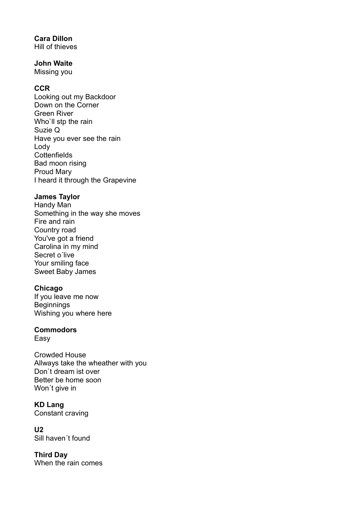## **Cara Dillon**

Hill of thieves

# **John Waite**

Missing you

# **CCR**

Looking out my Backdoor Down on the Corner Green River Who`ll stp the rain Suzie Q Have you ever see the rain Lody **Cottenfields** Bad moon rising Proud Mary I heard it through the Grapevine

# **James Taylor**

Handy Man Something in the way she moves Fire and rain Country road You've got a friend Carolina in my mind Secret o´live Your smiling face Sweet Baby James

# **Chicago**

If you leave me now Beginnings Wishing you where here

# **Commodors**

Easy

Crowded House Allways take the wheather with you Don`t dream ist over Better be home soon Won´t give in

**KD Lang** Constant craving

**U2** Sill haven´t found

**Third Day** When the rain comes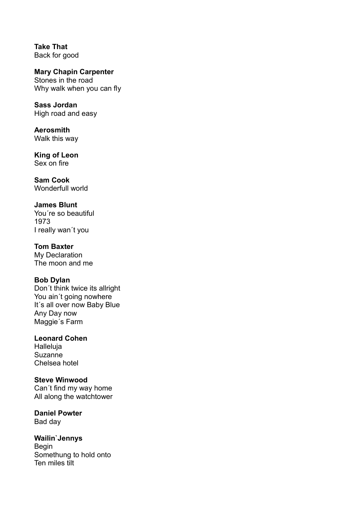**Take That** Back for good

**Mary Chapin Carpenter** Stones in the road Why walk when you can fly

**Sass Jordan** High road and easy

**Aerosmith** Walk this way

**King of Leon** Sex on fire

**Sam Cook** Wonderfull world

# **James Blunt**

You´re so beautiful 1973 I really wan´t you

# **Tom Baxter**

My Declaration The moon and me

# **Bob Dylan**

Don´t think twice its allright You ain´t going nowhere It's all over now Baby Blue Any Day now Maggie´s Farm

# **Leonard Cohen**

Halleluja Suzanne Chelsea hotel

# **Steve Winwood**

Can´t find my way home All along the watchtower

**Daniel Powter** Bad day

**Wailin`Jennys** Begin Somethung to hold onto Ten miles tilt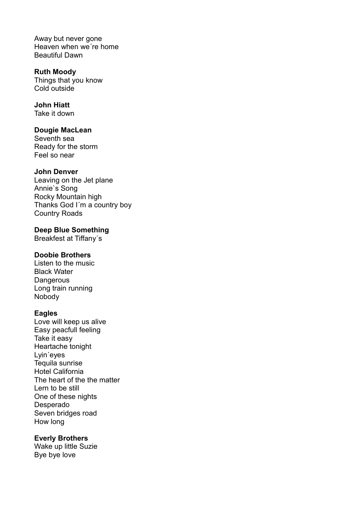Away but never gone Heaven when we´re home Beautiful Dawn

**Ruth Moody** Things that you know Cold outside

**John Hiatt** Take it down

**Dougie MacLean** Seventh sea Ready for the storm Feel so near

#### **John Denver**

Leaving on the Jet plane Annie`s Song Rocky Mountain high Thanks God I´m a country boy Country Roads

**Deep Blue Something** Breakfest at Tiffany´s

### **Doobie Brothers**

Listen to the music Black Water **Dangerous** Long train running Nobody

#### **Eagles**

Love will keep us alive Easy peacfull feeling Take it easy Heartache tonight Lyin´eyes Tequila sunrise Hotel California The heart of the the matter Lern to be still One of these nights Desperado Seven bridges road How long

### **Everly Brothers**

Wake up little Suzie Bye bye love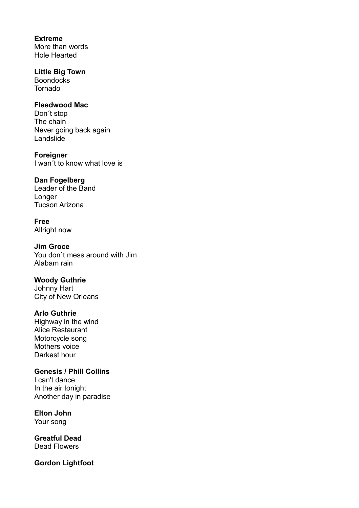**Extreme** More than words Hole Hearted

**Little Big Town Boondocks** Tornado

### **Fleedwood Mac**

Don´t stop The chain Never going back again Landslide

**Foreigner** I wan´t to know what love is

#### **Dan Fogelberg**

Leader of the Band Longer Tucson Arizona

**Free** Allright now

**Jim Groce**

You don`t mess around with Jim Alabam rain

**Woody Guthrie** Johnny Hart

City of New Orleans

#### **Arlo Guthrie**

Highway in the wind Alice Restaurant Motorcycle song Mothers voice Darkest hour

**Genesis / Phill Collins** I can't dance In the air tonight

Another day in paradise

**Elton John**

Your song

**Greatful Dead** Dead Flowers

**Gordon Lightfoot**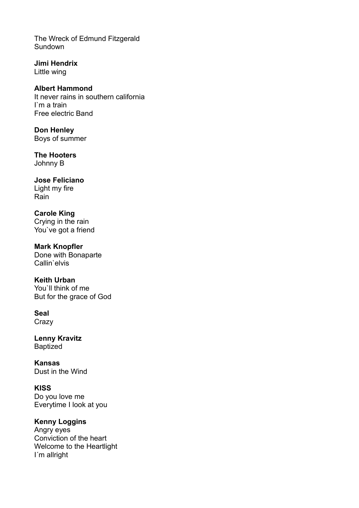The Wreck of Edmund Fitzgerald **Sundown** 

**Jimi Hendrix** Little wing

**Albert Hammond** It never rains in southern california I`m a train Free electric Band

**Don Henley** Boys of summer

**The Hooters** Johnny B

**Jose Feliciano** Light my fire Rain

**Carole King** Crying in the rain You've got a friend

**Mark Knopfler** Done with Bonaparte Callin`elvis

**Keith Urban** You'll think of me But for the grace of God

**Seal Crazy** 

**Lenny Kravitz** Baptized

**Kansas** Dust in the Wind

**KISS** Do you love me Everytime I look at you

**Kenny Loggins** Angry eyes Conviction of the heart Welcome to the Heartlight

I´m allright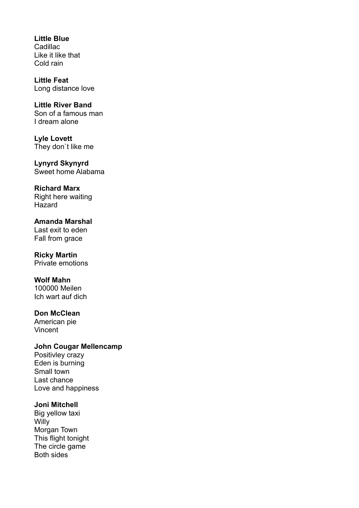**Little Blue Cadillac** Like it like that Cold rain

**Little Feat** Long distance love

**Little River Band** Son of a famous man I dream alone

**Lyle Lovett** They don`t like me

**Lynyrd Skynyrd** Sweet home Alabama

**Richard Marx** Right here waiting Hazard

**Amanda Marshal** Last exit to eden Fall from grace

**Ricky Martin** Private emotions

**Wolf Mahn** 100000 Meilen Ich wart auf dich

**Don McClean** American pie Vincent

**John Cougar Mellencamp** Positivley crazy Eden is burning Small town Last chance Love and happiness

#### **Joni Mitchell**

Big yellow taxi **Willy** Morgan Town This flight tonight The circle game Both sides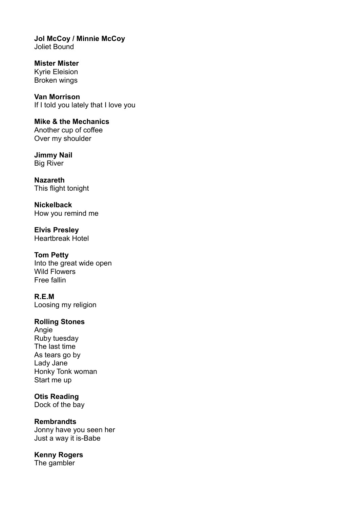**Jol McCoy / Minnie McCoy** Joliet Bound

**Mister Mister** Kyrie Eleision Broken wings

**Van Morrison** If I told you lately that I love you

**Mike & the Mechanics** Another cup of coffee Over my shoulder

**Jimmy Nail** Big River

**Nazareth** This flight tonight

**Nickelback** How you remind me

**Elvis Presley** Heartbreak Hotel

**Tom Petty** Into the great wide open Wild Flowers Free fallin

**R.E.M** Loosing my religion

# **Rolling Stones**

Angie Ruby tuesday The last time As tears go by Lady Jane Honky Tonk woman Start me up

# **Otis Reading**

Dock of the bay

# **Rembrandts**

Jonny have you seen her Just a way it is-Babe

**Kenny Rogers**

The gambler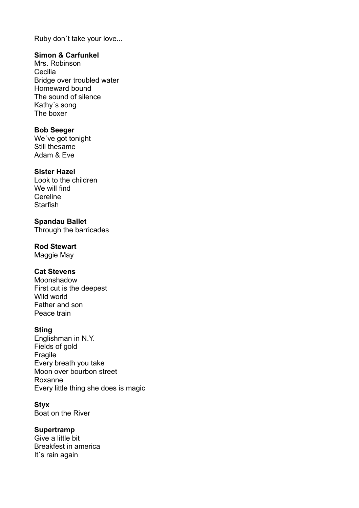Ruby don´t take your love...

### **Simon & Carfunkel**

Mrs. Robinson Cecilia Bridge over troubled water Homeward bound The sound of silence Kathy´s song The boxer

### **Bob Seeger**

We´ve got tonight Still thesame Adam & Eve

### **Sister Hazel**

Look to the children We will find Cereline **Starfish** 

**Spandau Ballet** Through the barricades

### **Rod Stewart**

Maggie May

### **Cat Stevens**

Moonshadow First cut is the deepest Wild world Father and son Peace train

### **Sting**

Englishman in N.Y. Fields of gold Fragile Every breath you take Moon over bourbon street Roxanne Every little thing she does is magic

### **Styx**

Boat on the River

# **Supertramp**

Give a little bit Breakfest in america It´s rain again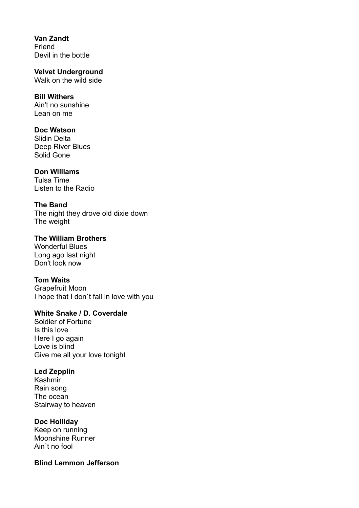**Van Zandt Friend** Devil in the bottle

**Velvet Underground** Walk on the wild side

#### **Bill Withers** Ain't no sunshine

Lean on me

# **Doc Watson**

Slidin Delta Deep River Blues Solid Gone

# **Don Williams**

Tulsa Time Listen to the Radio

# **The Band**

The night they drove old dixie down The weight

# **The William Brothers** Wonderful Blues

Long ago last night Don't look now

# **Tom Waits**

Grapefruit Moon I hope that I don`t fall in love with you

# **White Snake / D. Coverdale**

Soldier of Fortune Is this love Here I go again Love is blind Give me all your love tonight

# **Led Zepplin**

Kashmir Rain song The ocean Stairway to heaven

# **Doc Holliday**

Keep on running Moonshine Runner Ain`t no fool

# **Blind Lemmon Jefferson**